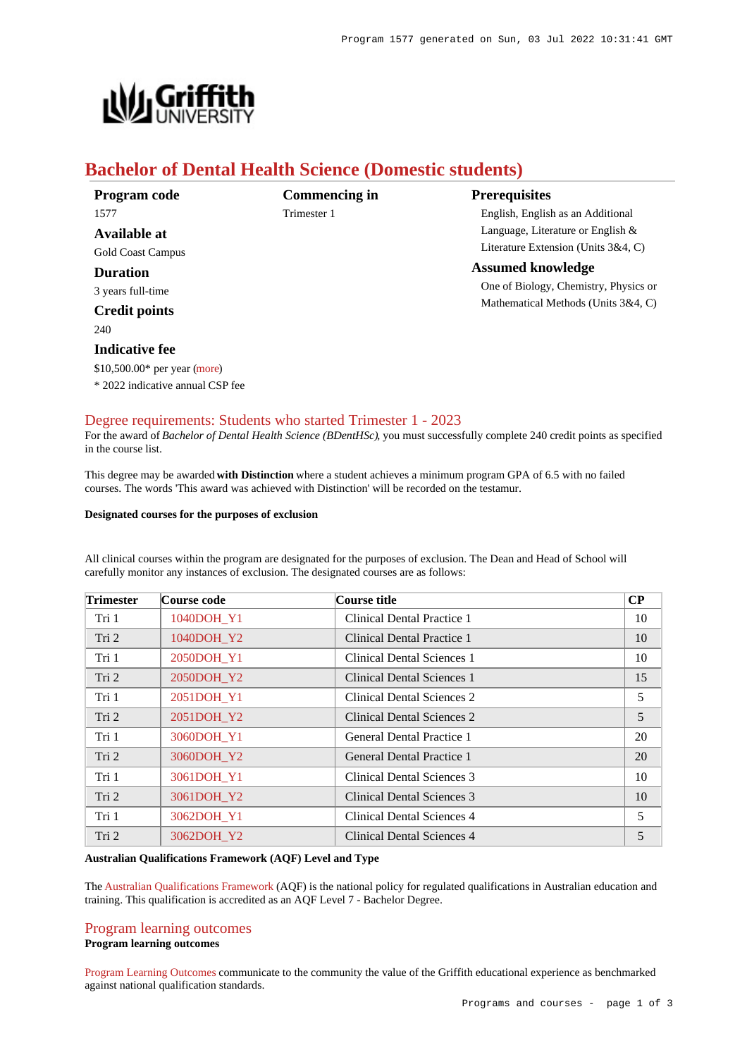

# **Bachelor of Dental Health Science (Domestic students)**

| Program code                     | <b>Commencing in</b> | <b>Prerequisites</b>                   |
|----------------------------------|----------------------|----------------------------------------|
| 1577                             | Trimester 1          | English, English as an Additional      |
| Available at                     |                      | Language, Literature or English $\&$   |
| Gold Coast Campus                |                      | Literature Extension (Units $3&4, C$ ) |
| Duration                         |                      | <b>Assumed knowledge</b>               |
| 3 years full-time                |                      | One of Biology, Chemistry, Physics or  |
| <b>Credit points</b>             |                      | Mathematical Methods (Units 3&4, C)    |
| 240                              |                      |                                        |
| <b>Indicative fee</b>            |                      |                                        |
| \$10,500.00* per year (more)     |                      |                                        |
| * 2022 indicative annual CSP fee |                      |                                        |

# [Degree requirements: Students who started Trimester 1 - 2023](https://www148.griffith.edu.au/programs-courses/Program/1577/Courses/Domestic#degree-requirements)

For the award of *Bachelor of Dental Health Science (BDentHSc)*, you must successfully complete 240 credit points as specified in the course list.

This degree may be awarded **with Distinction** where a student achieves a minimum program GPA of 6.5 with no failed courses. The words 'This award was achieved with Distinction' will be recorded on the testamur.

#### **Designated courses for the purposes of exclusion**

All clinical courses within the program are designated for the purposes of exclusion. The Dean and Head of School will carefully monitor any instances of exclusion. The designated courses are as follows:

| <b>Trimester</b> | Course code | Course title                      | $\bf CP$ |
|------------------|-------------|-----------------------------------|----------|
| Tri 1            | 1040DOH Y1  | Clinical Dental Practice 1        | 10       |
| Tri 2            | 1040DOH Y2  | Clinical Dental Practice 1        | 10       |
| Tri 1            | 2050DOH Y1  | Clinical Dental Sciences 1        | 10       |
| Tri 2            | 2050DOH Y2  | Clinical Dental Sciences 1        | 15       |
| Tri 1            | 2051DOH Y1  | Clinical Dental Sciences 2        | 5        |
| Tri 2            | 2051DOH Y2  | Clinical Dental Sciences 2        | 5        |
| Tri 1            | 3060DOH Y1  | General Dental Practice 1         | 20       |
| Tri 2            | 3060DOH Y2  | General Dental Practice 1         | 20       |
| Tri 1            | 3061DOH Y1  | Clinical Dental Sciences 3        | 10       |
| Tri <sub>2</sub> | 3061DOH Y2  | <b>Clinical Dental Sciences 3</b> | 10       |
| Tri 1            | 3062DOH Y1  | Clinical Dental Sciences 4        | 5        |
| Tri 2            | 3062DOH Y2  | Clinical Dental Sciences 4        | 5        |

## **Australian Qualifications Framework (AQF) Level and Type**

The [Australian Qualifications Framework](http://www.aqf.edu.au/) (AQF) is the national policy for regulated qualifications in Australian education and training. This qualification is accredited as an AQF Level 7 - Bachelor Degree.

# [Program learning outcomes](https://www148.griffith.edu.au/programs-courses/Program/1577/Courses/Domestic#programLearningOutcomes) **Program learning outcomes**

[Program Learning Outcomes](https://www.griffith.edu.au/__data/assets/pdf_file/0017/134522/PLO-general-advice.pdf) communicate to the community the value of the Griffith educational experience as benchmarked against national qualification standards.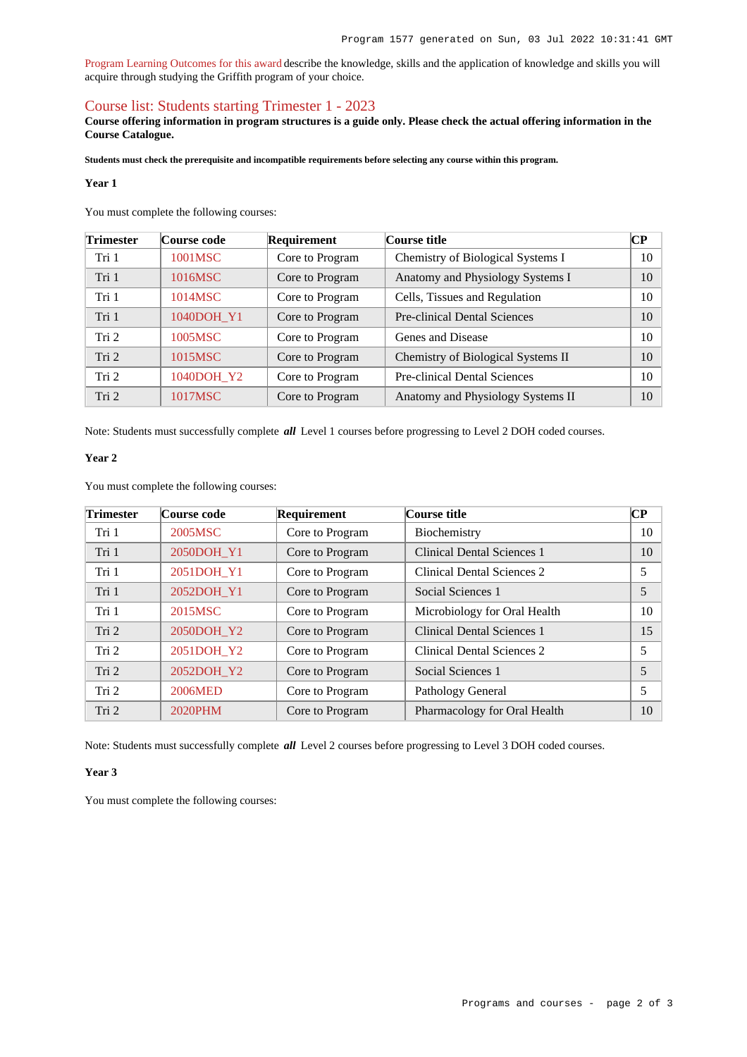[Program Learning Outcomes for this award](https://www.griffith.edu.au/__data/assets/pdf_file/0028/295615/BDental-Health-Science-PLO-L7.pdf) describe the knowledge, skills and the application of knowledge and skills you will acquire through studying the Griffith program of your choice.

# [Course list: Students starting Trimester 1 - 2023](https://www148.griffith.edu.au/programs-courses/Program/1577/Courses/Domestic#course-list-content)

**Course offering information in program structures is a guide only. Please check the actual offering information in the Course Catalogue.**

**Students must check the prerequisite and incompatible requirements before selecting any course within this program.**

#### **Year 1**

You must complete the following courses:

| <b>Trimester</b> | Course code | Requirement     | Course title                        | <b>CP</b> |
|------------------|-------------|-----------------|-------------------------------------|-----------|
| Tri 1            | 1001MSC     | Core to Program | Chemistry of Biological Systems I   | 10        |
| Tri 1            | 1016MSC     | Core to Program | Anatomy and Physiology Systems I    | 10        |
| Tri 1            | 1014MSC     | Core to Program | Cells, Tissues and Regulation       | 10        |
| Tri 1            | 1040DOH Y1  | Core to Program | Pre-clinical Dental Sciences        | 10        |
| Tri 2            | 1005MSC     | Core to Program | Genes and Disease                   | 10        |
| Tri 2            | 1015MSC     | Core to Program | Chemistry of Biological Systems II  | 10        |
| Tri 2            | 1040DOH Y2  | Core to Program | <b>Pre-clinical Dental Sciences</b> | 10        |
| Tri 2            | 1017MSC     | Core to Program | Anatomy and Physiology Systems II   | 10        |

Note: Students must successfully complete *all* Level 1 courses before progressing to Level 2 DOH coded courses.

#### **Year 2**

You must complete the following courses:

| <b>Trimester</b> | Course code | Requirement     | Course title                      | $\bf CP$ |
|------------------|-------------|-----------------|-----------------------------------|----------|
| Tri 1            | 2005MSC     | Core to Program | Biochemistry                      | 10       |
| Tri 1            | 2050DOH Y1  | Core to Program | <b>Clinical Dental Sciences 1</b> | 10       |
| Tri 1            | 2051DOH Y1  | Core to Program | Clinical Dental Sciences 2        | 5        |
| Tri 1            | 2052DOH Y1  | Core to Program | Social Sciences 1                 | 5        |
| Tri 1            | 2015MSC     | Core to Program | Microbiology for Oral Health      | 10       |
| Tri 2            | 2050DOH Y2  | Core to Program | <b>Clinical Dental Sciences 1</b> | 15       |
| Tri 2            | 2051DOH Y2  | Core to Program | Clinical Dental Sciences 2        | 5        |
| Tri 2            | 2052DOH Y2  | Core to Program | Social Sciences 1                 | 5        |
| Tri 2            | 2006MED     | Core to Program | Pathology General                 | 5        |
| Tri 2            | 2020PHM     | Core to Program | Pharmacology for Oral Health      | 10       |

Note: Students must successfully complete *all* Level 2 courses before progressing to Level 3 DOH coded courses.

## **Year 3**

You must complete the following courses: